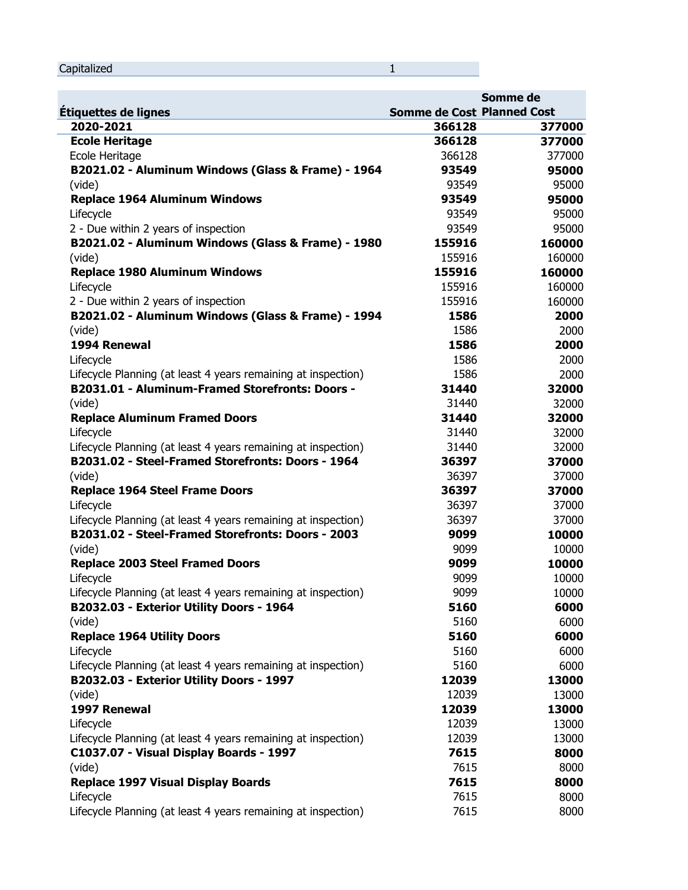|  | Capitalized |  |
|--|-------------|--|
|--|-------------|--|

u.

|                                                               | Somme de<br><b>Somme de Cost Planned Cost</b> |        |
|---------------------------------------------------------------|-----------------------------------------------|--------|
| Étiquettes de lignes                                          |                                               |        |
| 2020-2021                                                     | 366128                                        | 377000 |
| <b>Ecole Heritage</b>                                         | 366128                                        | 377000 |
| Ecole Heritage                                                | 366128                                        | 377000 |
| B2021.02 - Aluminum Windows (Glass & Frame) - 1964            | 93549                                         | 95000  |
| (vide)                                                        | 93549                                         | 95000  |
| <b>Replace 1964 Aluminum Windows</b>                          | 93549                                         | 95000  |
| Lifecycle                                                     | 93549                                         | 95000  |
| 2 - Due within 2 years of inspection                          | 93549                                         | 95000  |
| B2021.02 - Aluminum Windows (Glass & Frame) - 1980            | 155916                                        | 160000 |
| (vide)                                                        | 155916                                        | 160000 |
| <b>Replace 1980 Aluminum Windows</b>                          | 155916                                        | 160000 |
| Lifecycle                                                     | 155916                                        | 160000 |
| 2 - Due within 2 years of inspection                          | 155916                                        | 160000 |
| B2021.02 - Aluminum Windows (Glass & Frame) - 1994            | 1586                                          | 2000   |
| (vide)                                                        | 1586                                          | 2000   |
| 1994 Renewal                                                  | 1586                                          | 2000   |
| Lifecycle                                                     | 1586                                          | 2000   |
| Lifecycle Planning (at least 4 years remaining at inspection) | 1586                                          | 2000   |
| B2031.01 - Aluminum-Framed Storefronts: Doors -               | 31440                                         | 32000  |
| (vide)                                                        | 31440                                         | 32000  |
| <b>Replace Aluminum Framed Doors</b>                          | 31440                                         | 32000  |
| Lifecycle                                                     | 31440                                         | 32000  |
| Lifecycle Planning (at least 4 years remaining at inspection) | 31440                                         | 32000  |
| B2031.02 - Steel-Framed Storefronts: Doors - 1964             | 36397                                         | 37000  |
| (vide)                                                        | 36397                                         | 37000  |
| <b>Replace 1964 Steel Frame Doors</b>                         | 36397                                         | 37000  |
| Lifecycle                                                     | 36397                                         | 37000  |
| Lifecycle Planning (at least 4 years remaining at inspection) | 36397                                         | 37000  |
| B2031.02 - Steel-Framed Storefronts: Doors - 2003             | 9099                                          | 10000  |
| (vide)                                                        | 9099                                          | 10000  |
| <b>Replace 2003 Steel Framed Doors</b>                        | 9099                                          | 10000  |
| Lifecycle                                                     | 9099                                          | 10000  |
| Lifecycle Planning (at least 4 years remaining at inspection) | 9099                                          | 10000  |
| B2032.03 - Exterior Utility Doors - 1964                      | 5160                                          | 6000   |
| (vide)                                                        | 5160                                          | 6000   |
| <b>Replace 1964 Utility Doors</b>                             | 5160                                          | 6000   |
| Lifecycle                                                     | 5160                                          | 6000   |
| Lifecycle Planning (at least 4 years remaining at inspection) | 5160                                          | 6000   |
| B2032.03 - Exterior Utility Doors - 1997                      | 12039                                         | 13000  |

(vide) 12039 13000

**1997 Renewal 12039 13000**

Lifecycle 12039 13000 Lifecycle Planning (at least 4 years remaining at inspection) 12039 13000

**C1037.07 - Visual Display Boards - 1997 7615 8000**

(vide) 7615 8000

**Replace 1997 Visual Display Boards 7615 8000**

Lifecycle 7615 8000 Lifecycle Planning (at least 4 years remaining at inspection) 7615 7615